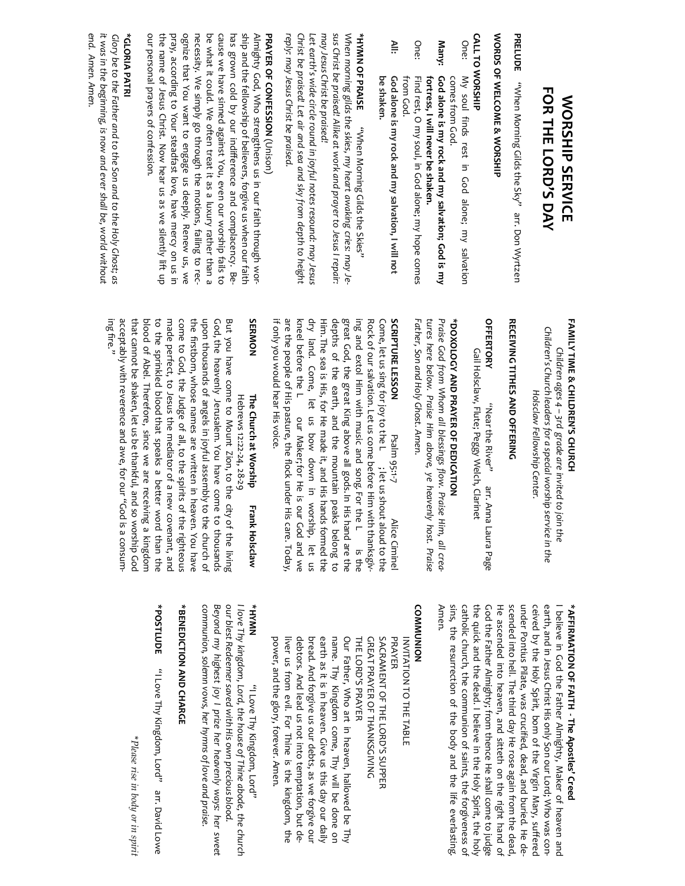| <b>FOR THE LORD'S DAY</b><br><b>NORSHIP SERVICE</b>                                                                                 | <b>FAMILY TIME &amp; CHILDREN'S CHURCH</b><br>Children's Church leaders for a special worship service in the<br>Children ages 4 - 3rd grade are invited<br>Holsclaw Fellowship Center.<br>to join the | ceived by the<br>earth, and in Je.<br><b>*AFFIRMATION</b><br>believe in Goo |
|-------------------------------------------------------------------------------------------------------------------------------------|-------------------------------------------------------------------------------------------------------------------------------------------------------------------------------------------------------|-----------------------------------------------------------------------------|
| PRELUDE<br>"When Morning Gilds the Sky" arr. Don Wyrtzen                                                                            | <b>RECEIVING TITHES AND OFFERING</b>                                                                                                                                                                  | scended into he<br>under Pontius F                                          |
| WORDS OF WELCOME & WORSHIP                                                                                                          |                                                                                                                                                                                                       | He ascended ir                                                              |
| <b>CALL TO WORSHIP</b>                                                                                                              | <b>OFFERTORY</b><br>Gail Holsclaw, Flute; Peggy Welch, Clarinet<br>"Near the River"<br>arr. Anna Laura Page                                                                                           | the quick and t<br>God the Father                                           |
| One:<br>My soul finds rest in God alone; my salvation                                                                               |                                                                                                                                                                                                       | catholic church                                                             |
| comes from God.                                                                                                                     | *DOXOLOGY AND PRAYER OF DEDICATION                                                                                                                                                                    | sins, the resuri                                                            |
| <b>Many:</b><br>God alone is my rock and my salvation; God is my                                                                    | Praise God from Whom all blessings flow. Praise Him, all crea-                                                                                                                                        | Amen.                                                                       |
| fortress, I will never be shaken.                                                                                                   | tures here below. Praise Him above, ye heavenly host. Praise                                                                                                                                          |                                                                             |
| One:<br>Find rest, O my soul, in God alone; my hope comes                                                                           | Father, Son and Holy Ghost. Amen.                                                                                                                                                                     | <b>COMMUNION</b>                                                            |
| from God.                                                                                                                           |                                                                                                                                                                                                       | <b>IATIAN</b>                                                               |
| ≧<br>God alone is my rock and my salvation, I will not                                                                              | SCRIPTURE LESSON<br>Psalm 95:1-7<br>Alice Ciminel                                                                                                                                                     | PRAYER                                                                      |
| be shaken.                                                                                                                          | Come, let us sing for joy to the L ; let us shout aloud to the                                                                                                                                        | SACRAN                                                                      |
| <b>*HYMN OF PRAISE</b><br>"Nhen Morning Gilds the Skies"                                                                            | Rock of our salvation. Let us come before H<br>im with thanksgiv-                                                                                                                                     | <b>GREAT</b>                                                                |
| When morning gilds the skies, my heart awaking cries: may Je-                                                                       | great God, the great King above all gods. In His hand are the<br>ing and extol Him with music and song, For the L<br>is the                                                                           | Our Fat<br>THE LOI                                                          |
| sus Christ be praised! Alike at work and prayer to Jesus I repair:                                                                  | depths of the earth, and the mountain<br>peaks belong to                                                                                                                                              | name.                                                                       |
| may Jesus Christ be praised!                                                                                                        | Him. The sea is His, for He made it, and His hands formed the                                                                                                                                         | earth a                                                                     |
| Let earth's wide circle round in joyful notes resound: may Jesus                                                                    | dry land. Come, let us bow down in<br>worship, let us                                                                                                                                                 | bread.                                                                      |
| Christ be praised! Let air and sea and sky from depth to height                                                                     | kneel before the L<br>our Maker; for He is our God and we                                                                                                                                             | debtors                                                                     |
| reply: may Jesus Christ be praised.                                                                                                 | are the people of His pasture, the flock under His care. Today,                                                                                                                                       | liver us                                                                    |
| <b>PRAYER OF CONFESSION (Unison)</b>                                                                                                | if only you would hear His voice.                                                                                                                                                                     | power,                                                                      |
| ship and the fellowship of believers, forgive us when our faith<br>Almighty God, Who strengthens us in our faith through wor-       | <b>SERMON</b><br>The Church at Worship<br><b>Frank Holsclaw</b>                                                                                                                                       | NWAH*                                                                       |
| has grown cold by our indifference and complacency. Be-                                                                             | But you have come to Mount Zion, to the<br>Hebrews 12:22-24, 28-29<br>city of the living                                                                                                              | our blest Redee<br>I love Thy kingd                                         |
| cause we have sinned against You, even our worship fails to                                                                         | God, the heavenly Jerusalem. You have come to thousands                                                                                                                                               | Beyond my higl                                                              |
| necessity. We simply go through the motions, failing to rec-<br>be what it could. We often treat it as a luxury rather than a       | the firstborn, whose names are written in<br>upon thousands of angels in joyful assembly to the church of<br>heaven. You have                                                                         | communion, sol                                                              |
| ognize that You want to engage us deeply. Renew us, we                                                                              | come to God, the Judge of all, to the spirits of the righteous                                                                                                                                        | *BENEDICTION                                                                |
| pray, according to Your steadfast love, have mercy on us in<br>the name of Jesus Christ. Now hear us as we silently lift up         | to the sprinkled blood that speaks a better word than the<br>made perfect, to Jesus the mediator of a new covenant, and                                                                               | *POSTLUDE                                                                   |
| our personal prayers of confession.                                                                                                 | that cannot be shaken, let us be thankful, and so worship God<br>blood of Abel. Therefore, since we are receiving a kingdom                                                                           |                                                                             |
| *GLORIA PATRI                                                                                                                       | acceptably with reverence and awe, for our<br>unsuoo e si poo,                                                                                                                                        |                                                                             |
| it was in the beginning, is now and ever shall be, world without<br>Glory be to the Father and to the Son and to the Holy Ghost; as | ing fire."                                                                                                                                                                                            |                                                                             |
| end. Amen. Amen.                                                                                                                    |                                                                                                                                                                                                       |                                                                             |
|                                                                                                                                     |                                                                                                                                                                                                       |                                                                             |

\*Please rise in body or in spirit *Please rise in body or in spirit*

**\*AFFIRMATION OF FAITH - The Apostlesǯ Creed** 

sins, the resurrection of the body and the life everlasting. catholic church, the communion of saints, the forgiveness of the quick and the dead. I believe in the Holy Spirit, the holy God the Father Almighty; from thence He shall come to judge He ascended into heaven, and sitteth on the right hand of scended into hell. The third day He rose again from the dead, under Pontius Pilate, was crucified, dead, and buried. He deceived by the Holy Spirit, born of the Virgin Mary, suffered earth, and in Jesus Christ His only Son our Lord; Who was con-I believe in God the Father Almighty, Maker of heaven and d the Father Almighty, Maker of heaven and Almighty; from thence He shall come to judge<br>the dead. I believe in the Holy Spirit, the holy sus Christ His only Son our Lord; Who was conection of the body and the life everlasting. ito heaven, and sitteth on the right hand of ell. The third day He rose again from the dead, Pilate, was crucified, dead, and buried. He de-Holy Spirit, born of the Virgin Mary, suffered the communion of saints, the forgiveness of

debtors. And lead us not into temptation, but deearth as it is in heaven. Give us this day our daily Our Father, Who art in heaven, hallowed be Thy THE LORD GREAT PRAYER OF THANKSGIVING SACRAMENT OF THE LORD power, and the glory, forever. Amen. liver us from evil. For Thine is the kingdom, the bread. And forgive us our debts, as we forgive our name. Thy Kingdom come, Thy will be done on PRAYER INVITATION TO THE TABLE **RD'S PRAYER** .. And lead us not into temptation, but dether, Who art in heaven, hallowed be Thy<br>Thy Kingdom come, Thy will be done on<br>s it is in heaven. Give us this day our daily and the glory, forever. Amen. And forgive us our debts, as we forgive our PRAYER OF THANKSGIVING **AENT OF THE LORD'S SUPPER ION TO THE TABLE** from evil. For Thine is the kingdom, the S PRAYER S SUPPER

*communion, solemn vows, her hymns of love and praise. Beyond my highest joy I prize her heavenly ways: her sweet our blest Redeemer saved with His own precious blood. I love Thy kingdom, Lord, the house of Thine abode, the church*  emn vows, her hymns of love and praise. hest joy I prize her heavenly ways: her sweet ner saved with His own precious blood. DzI Love Thy Kingdom, Lorddz

## **\*BENEDICTION AND CHARGE AND CHARGE**

DzI Love Thy Kingdom, Lorddzarr. David Lowe